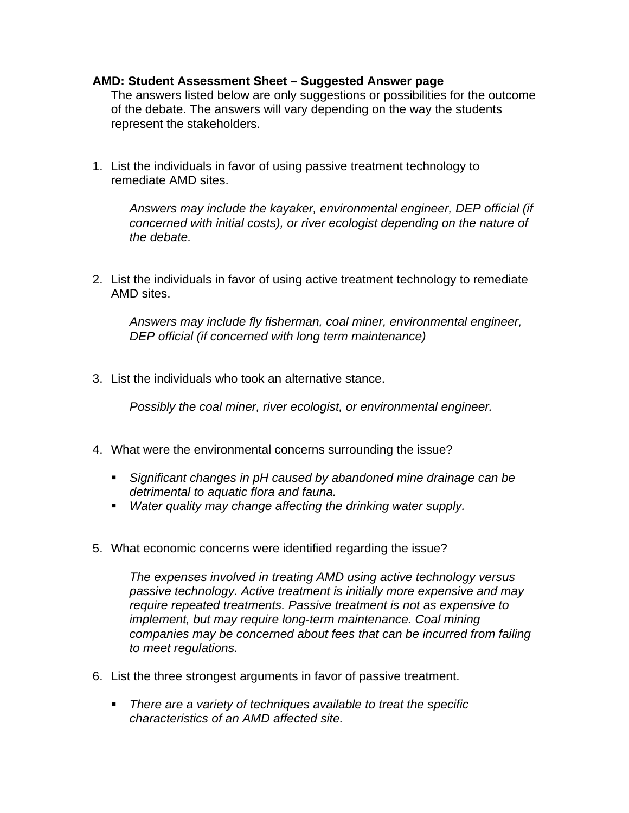## **AMD: Student Assessment Sheet – Suggested Answer page**

The answers listed below are only suggestions or possibilities for the outcome of the debate. The answers will vary depending on the way the students represent the stakeholders.

1. List the individuals in favor of using passive treatment technology to remediate AMD sites.

*Answers may include the kayaker, environmental engineer, DEP official (if concerned with initial costs), or river ecologist depending on the nature of the debate.*

2. List the individuals in favor of using active treatment technology to remediate AMD sites.

*Answers may include fly fisherman, coal miner, environmental engineer, DEP official (if concerned with long term maintenance)*

3. List the individuals who took an alternative stance.

*Possibly the coal miner, river ecologist, or environmental engineer.*

- 4. What were the environmental concerns surrounding the issue?
	- **Significant changes in pH caused by abandoned mine drainage can be** *detrimental to aquatic flora and fauna.*
	- **Water quality may change affecting the drinking water supply.**
- 5. What economic concerns were identified regarding the issue?

*The expenses involved in treating AMD using active technology versus passive technology. Active treatment is initially more expensive and may require repeated treatments. Passive treatment is not as expensive to implement, but may require long-term maintenance. Coal mining companies may be concerned about fees that can be incurred from failing to meet regulations.*

- 6. List the three strongest arguments in favor of passive treatment.
	- **There are a variety of techniques available to treat the specific** *characteristics of an AMD affected site.*